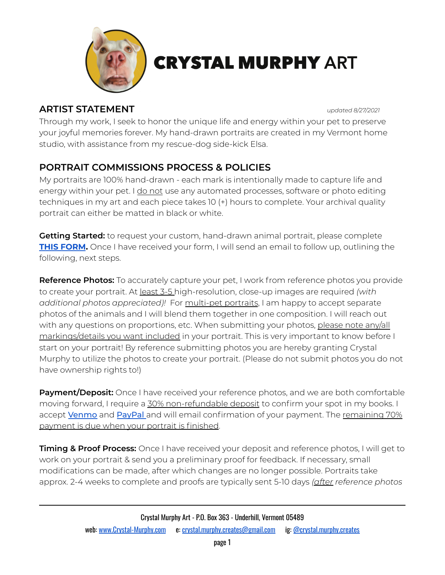

# **CRYSTAL MURPHY ART**

### **ARTIST STATEMENT** *updated 8/27/2021*

Through my work, I seek to honor the unique life and energy within your pet to preserve your joyful memories forever. My hand-drawn portraits are created in my Vermont home studio, with assistance from my rescue-dog side-kick Elsa.

# **PORTRAIT COMMISSIONS PROCESS & POLICIES**

My portraits are 100% hand-drawn - each mark is intentionally made to capture life and energy within your pet. I do not use any automated processes, software or photo editing techniques in my art and each piece takes 10 (+) hours to complete. Your archival quality portrait can either be matted in black or white.

**Getting Started:** to request your custom, hand-drawn animal portrait, please complete **THIS [FORM](https://docs.google.com/forms/d/e/1FAIpQLSeaFDHp3VUvir6jzH7YimsiNlDjne87W0hJnMkohgbPaQxwfg/viewform?usp=sf_link).** Once I have received your form, I will send an email to follow up, outlining the following, next steps.

**Reference Photos:** To accurately capture your pet, I work from reference photos you provide to create your portrait. At least 3-5 high-resolution, close-up images are required *(with additional photos appreciated)!* For multi-pet portraits, I am happy to accept separate photos of the animals and I will blend them together in one composition. I will reach out with any questions on proportions, etc. When submitting your photos, please note any/all markings/details you want included in your portrait. This is very important to know before I start on your portrait! By reference submitting photos you are hereby granting Crystal Murphy to utilize the photos to create your portrait. (Please do not submit photos you do not have ownership rights to!)

**Payment/Deposit:** Once I have received your reference photos, and we are both comfortable moving forward, I require a 30% non-refundable deposit to confirm your spot in my books. I accept **[Venmo](https://venmo.com/u/CrystalMurphyCreates)** and **[PayPal](https://www.paypal.com/paypalme/CrystalMurphyCreates)** and will email confirmation of your payment. The remaining 70% payment is due when your portrait is finished.

**Timing & Proof Process:** Once I have received your deposit and reference photos, I will get to work on your portrait & send you a preliminary proof for feedback. If necessary, small modifications can be made, after which changes are no longer possible. Portraits take approx. 2-4 weeks to complete and proofs are typically sent 5-10 days *(after reference photos*